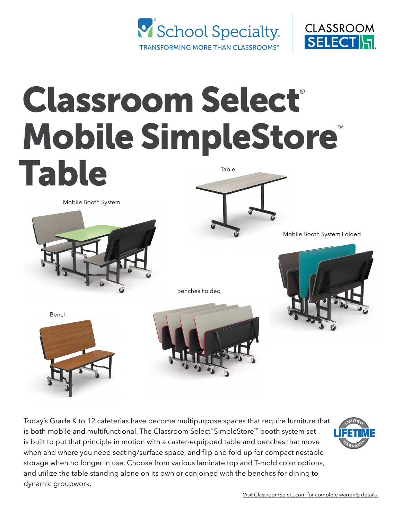



# Classroom Select® Mobile SimpleStore™ Table Table



Mobile Booth System

Mobile Booth System Folded



Bench



Benches Folded

Today's Grade K to 12 cafeterias have become multipurpose spaces that require furniture that is both mobile and multifunctional. The Classroom Select® SimpleStore™ booth system set is built to put that principle in motion with a caster-equipped table and benches that move when and where you need seating/surface space, and flip and fold up for compact nestable storage when no longer in use. Choose from various laminate top and T-mold color options, and utilize the table standing alone on its own or conjoined with the benches for dining to dynamic groupwork.

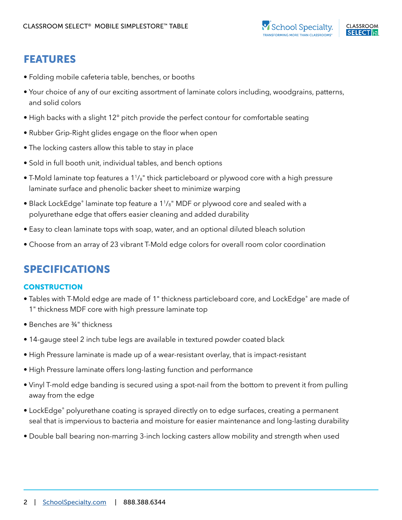

## FEATURES

- Folding mobile cafeteria table, benches, or booths
- Your choice of any of our exciting assortment of laminate colors including, woodgrains, patterns, and solid colors
- High backs with a slight 12° pitch provide the perfect contour for comfortable seating
- Rubber Grip-Right glides engage on the floor when open
- The locking casters allow this table to stay in place
- Sold in full booth unit, individual tables, and bench options
- T-Mold laminate top features a 1<sup>1</sup>/<sub>8</sub>" thick particleboard or plywood core with a high pressure laminate surface and phenolic backer sheet to minimize warping
- Black LockEdge® laminate top feature a 11/8" MDF or plywood core and sealed with a polyurethane edge that offers easier cleaning and added durability
- Easy to clean laminate tops with soap, water, and an optional diluted bleach solution
- Choose from an array of 23 vibrant T-Mold edge colors for overall room color coordination

# SPECIFICATIONS

### **CONSTRUCTION**

- Tables with T-Mold edge are made of 1" thickness particleboard core, and LockEdge® are made of 1" thickness MDF core with high pressure laminate top
- Benches are ¾" thickness
- 14-gauge steel 2 inch tube legs are available in textured powder coated black
- High Pressure laminate is made up of a wear-resistant overlay, that is impact-resistant
- High Pressure laminate offers long-lasting function and performance
- Vinyl T-mold edge banding is secured using a spot-nail from the bottom to prevent it from pulling away from the edge
- LockEdge® polyurethane coating is sprayed directly on to edge surfaces, creating a permanent seal that is impervious to bacteria and moisture for easier maintenance and long-lasting durability
- Double ball bearing non-marring 3-inch locking casters allow mobility and strength when used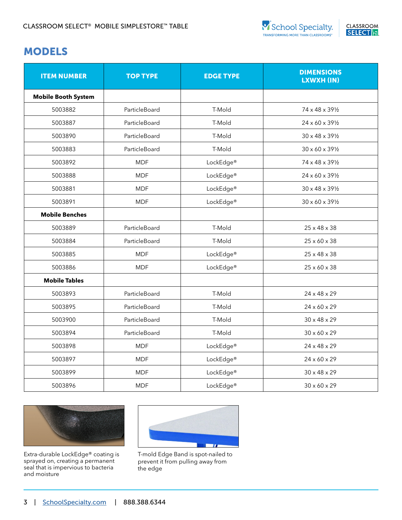

# **CLASSROOM**<br>**SELECT** H<sub>1</sub>

### MODELS

| <b>ITEM NUMBER</b>         | <b>TOP TYPE</b> | <b>EDGE TYPE</b>      | <b>DIMENSIONS</b><br>LXWXH (IN) |
|----------------------------|-----------------|-----------------------|---------------------------------|
| <b>Mobile Booth System</b> |                 |                       |                                 |
| 5003882                    | ParticleBoard   | T-Mold                | 74 x 48 x 391/2                 |
| 5003887                    | ParticleBoard   | T-Mold                | 24 x 60 x 391/2                 |
| 5003890                    | ParticleBoard   | T-Mold                | 30 x 48 x 391/2                 |
| 5003883                    | ParticleBoard   | T-Mold                | 30 x 60 x 391/2                 |
| 5003892                    | <b>MDF</b>      | LockEdge <sup>®</sup> | 74 x 48 x 391/2                 |
| 5003888                    | <b>MDF</b>      | LockEdge <sup>®</sup> | 24 x 60 x 391/2                 |
| 5003881                    | <b>MDF</b>      | LockEdge <sup>®</sup> | 30 x 48 x 391/2                 |
| 5003891                    | <b>MDF</b>      | LockEdge <sup>®</sup> | $30 \times 60 \times 39\%$      |
| <b>Mobile Benches</b>      |                 |                       |                                 |
| 5003889                    | ParticleBoard   | T-Mold                | $25 \times 48 \times 38$        |
| 5003884                    | ParticleBoard   | T-Mold                | 25 x 60 x 38                    |
| 5003885                    | <b>MDF</b>      | LockEdge®             | $25 \times 48 \times 38$        |
| 5003886                    | <b>MDF</b>      | LockEdge <sup>®</sup> | 25 x 60 x 38                    |
| <b>Mobile Tables</b>       |                 |                       |                                 |
| 5003893                    | ParticleBoard   | T-Mold                | 24 x 48 x 29                    |
| 5003895                    | ParticleBoard   | T-Mold                | $24 \times 60 \times 29$        |
| 5003900                    | ParticleBoard   | T-Mold                | $30 \times 48 \times 29$        |
| 5003894                    | ParticleBoard   | T-Mold                | $30 \times 60 \times 29$        |
| 5003898                    | <b>MDF</b>      | LockEdge <sup>®</sup> | 24 x 48 x 29                    |
| 5003897                    | <b>MDF</b>      | LockEdge <sup>®</sup> | $24 \times 60 \times 29$        |
| 5003899                    | <b>MDF</b>      | LockEdge <sup>®</sup> | $30 \times 48 \times 29$        |
| 5003896                    | <b>MDF</b>      | LockEdge <sup>®</sup> | $30 \times 60 \times 29$        |



Extra-durable LockEdge® coating is sprayed on, creating a permanent seal that is impervious to bacteria and moisture



T-mold Edge Band is spot-nailed to prevent it from pulling away from the edge